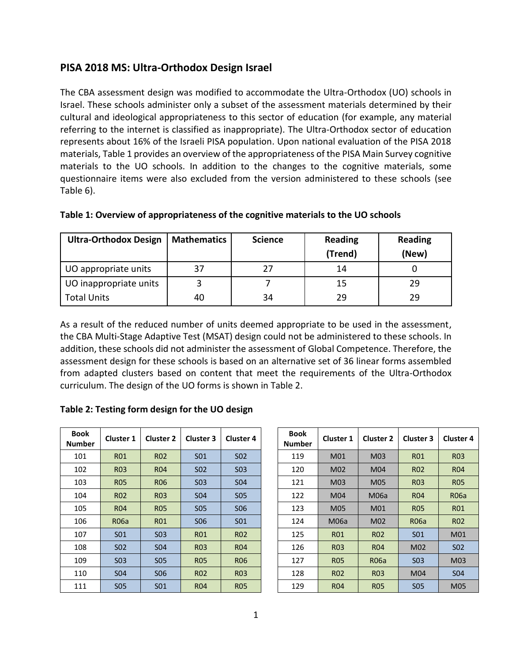# **PISA 2018 MS: Ultra-Orthodox Design Israel**

The CBA assessment design was modified to accommodate the Ultra-Orthodox (UO) schools in Israel. These schools administer only a subset of the assessment materials determined by their cultural and ideological appropriateness to this sector of education (for example, any material referring to the internet is classified as inappropriate). The Ultra-Orthodox sector of education represents about 16% of the Israeli PISA population. Upon national evaluation of the PISA 2018 materials, Table 1 provides an overview of the appropriateness of the PISA Main Survey cognitive materials to the UO schools. In addition to the changes to the cognitive materials, some questionnaire items were also excluded from the version administered to these schools (see Table 6).

| <b>Ultra-Orthodox Design</b> | <b>Mathematics</b> | <b>Science</b> | <b>Reading</b><br>(Trend) | <b>Reading</b><br>(New) |
|------------------------------|--------------------|----------------|---------------------------|-------------------------|
| UO appropriate units         | 37                 | 77             | 14                        |                         |
| UO inappropriate units       |                    |                | 15                        | 29                      |
| <b>Total Units</b>           | 40                 | 34             | 29                        | 29                      |

### **Table 1: Overview of appropriateness of the cognitive materials to the UO schools**

As a result of the reduced number of units deemed appropriate to be used in the assessment, the CBA Multi-Stage Adaptive Test (MSAT) design could not be administered to these schools. In addition, these schools did not administer the assessment of Global Competence. Therefore, the assessment design for these schools is based on an alternative set of 36 linear forms assembled from adapted clusters based on content that meet the requirements of the Ultra-Orthodox curriculum. The design of the UO forms is shown in Table 2.

#### **Table 2: Testing form design for the UO design**

| <b>Book</b><br><b>Number</b> | <b>Cluster 1</b> | <b>Cluster 2</b> | <b>Cluster 3</b> | <b>Cluster 4</b> | <b>Book</b><br>Numbe |
|------------------------------|------------------|------------------|------------------|------------------|----------------------|
| 101                          | <b>R01</b>       | <b>R02</b>       | S <sub>01</sub>  | S <sub>0</sub> 2 | 119                  |
| 102                          | <b>R03</b>       | <b>R04</b>       | S <sub>0</sub> 2 | <b>S03</b>       | 120                  |
| 103                          | <b>R05</b>       | <b>R06</b>       | S <sub>0</sub> 3 | <b>S04</b>       | 121                  |
| 104                          | R <sub>02</sub>  | <b>R03</b>       | <b>S04</b>       | <b>SO5</b>       | 122                  |
| 105                          | R <sub>04</sub>  | <b>R05</b>       | <b>S05</b>       | <b>SO6</b>       | 123                  |
| 106                          | <b>R06a</b>      | <b>R01</b>       | <b>SO6</b>       | S <sub>01</sub>  | 124                  |
| 107                          | <b>SO1</b>       | S <sub>0</sub> 3 | <b>R01</b>       | R <sub>02</sub>  | 125                  |
| 108                          | S <sub>0</sub> 2 | <b>S04</b>       | <b>R03</b>       | <b>R04</b>       | 126                  |
| 109                          | S <sub>0</sub> 3 | <b>SO5</b>       | <b>R05</b>       | <b>R06</b>       | 127                  |
| 110                          | S <sub>04</sub>  | <b>SO6</b>       | R <sub>02</sub>  | R <sub>03</sub>  | 128                  |
| 111                          | <b>S05</b>       | <b>SO1</b>       | <b>R04</b>       | <b>R05</b>       | 129                  |

| 30ok<br>ımber | <b>Cluster 1</b> | <b>Cluster 2</b> | <b>Cluster 3</b> | <b>Cluster 4</b> | <b>Book</b><br><b>Number</b> | <b>Cluster 1</b> | <b>Cluster 2</b> | <b>Cluster 3</b> | <b>Cluster 4</b> |
|---------------|------------------|------------------|------------------|------------------|------------------------------|------------------|------------------|------------------|------------------|
| 101           | <b>R01</b>       | <b>RO2</b>       | S <sub>01</sub>  | S <sub>02</sub>  | 119                          | M01              | M03              | <b>R01</b>       | <b>R03</b>       |
| 102           | <b>R03</b>       | <b>R04</b>       | S <sub>02</sub>  | <b>SO3</b>       | 120                          | M02              | M04              | <b>RO2</b>       | <b>R04</b>       |
| 103           | <b>R05</b>       | <b>RO6</b>       | S <sub>0</sub> 3 | <b>S04</b>       | 121                          | M03              | M05              | <b>R03</b>       | <b>R05</b>       |
| 104           | <b>RO2</b>       | <b>R03</b>       | <b>S04</b>       | <b>SO5</b>       | 122                          | M04              | <b>M06a</b>      | <b>R04</b>       | <b>R06a</b>      |
| 105           | <b>R04</b>       | <b>R05</b>       | <b>SO5</b>       | S <sub>06</sub>  | 123                          | M05              | M01              | <b>R05</b>       | R01              |
| 106           | <b>R06a</b>      | <b>R01</b>       | S <sub>06</sub>  | <b>SO1</b>       | 124                          | <b>M06a</b>      | M02              | <b>R06a</b>      | R <sub>02</sub>  |
| 107           | S <sub>01</sub>  | <b>S03</b>       | <b>R01</b>       | <b>RO2</b>       | 125                          | <b>R01</b>       | <b>RO2</b>       | <b>SO1</b>       | M01              |
| 108           | <b>SO2</b>       | <b>SO4</b>       | <b>R03</b>       | <b>R04</b>       | 126                          | <b>R03</b>       | <b>R04</b>       | M02              | S <sub>02</sub>  |
| 109           | <b>SO3</b>       | <b>SO5</b>       | <b>R05</b>       | <b>RO6</b>       | 127                          | <b>RO5</b>       | <b>R06a</b>      | <b>SO3</b>       | M03              |
| 110           | S <sub>04</sub>  | S <sub>06</sub>  | <b>RO2</b>       | <b>R03</b>       | 128                          | <b>RO2</b>       | R <sub>0</sub> 3 | M04              | <b>S04</b>       |
| 111           | <b>SO5</b>       | <b>SO1</b>       | <b>R04</b>       | <b>R05</b>       | 129                          | <b>R04</b>       | <b>RO5</b>       | <b>SO5</b>       | M05              |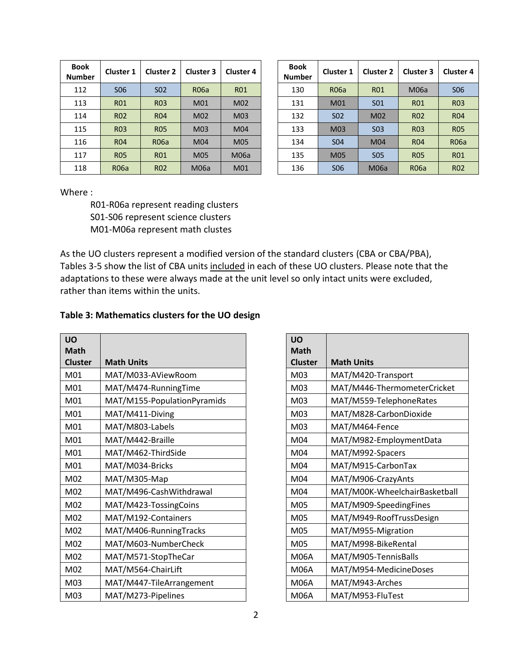| <b>Book</b><br><b>Number</b> | <b>Cluster 1</b> | <b>Cluster 2</b> | <b>Cluster 3</b> | <b>Cluster 4</b> | <b>Book</b><br><b>Numbe</b> |
|------------------------------|------------------|------------------|------------------|------------------|-----------------------------|
| 112                          | <b>SO6</b>       | S <sub>0</sub> 2 | R06a             | <b>R01</b>       | 130                         |
| 113                          | <b>R01</b>       | R <sub>03</sub>  | M01              | M02              | 131                         |
| 114                          | R <sub>02</sub>  | R <sub>04</sub>  | M02              | M03              | 132                         |
| 115                          | <b>R03</b>       | <b>R05</b>       | M03              | M04              | 133                         |
| 116                          | <b>R04</b>       | <b>R06a</b>      | M04              | M05              | 134                         |
| 117                          | <b>R05</b>       | <b>R01</b>       | M05              | <b>M06a</b>      | 135                         |
| 118                          | R06a             | R <sub>02</sub>  | M06a             | M01              | 136                         |

| 30ok<br>ımber | <b>Cluster 1</b> | <b>Cluster 2</b> | <b>Cluster 3</b> | <b>Cluster 4</b> | <b>Book</b><br><b>Number</b> | <b>Cluster 1</b> | <b>Cluster 2</b> | <b>Cluster 3</b> | <b>Cluster 4</b> |
|---------------|------------------|------------------|------------------|------------------|------------------------------|------------------|------------------|------------------|------------------|
| 112           | S <sub>06</sub>  | S <sub>02</sub>  | <b>R06a</b>      | <b>R01</b>       | 130                          | <b>R06a</b>      | <b>R01</b>       | M06a             | S <sub>06</sub>  |
| 113           | <b>R01</b>       | <b>R03</b>       | M01              | M02              | 131                          | M01              | <b>SO1</b>       | R <sub>01</sub>  | <b>R03</b>       |
| 114           | <b>RO2</b>       | <b>R04</b>       | M02              | M03              | 132                          | S <sub>0</sub> 2 | M02              | <b>RO2</b>       | <b>R04</b>       |
| 115           | <b>R03</b>       | <b>R05</b>       | M03              | M04              | 133                          | M03              | S <sub>0</sub> 3 | <b>R03</b>       | <b>R05</b>       |
| 116           | <b>R04</b>       | <b>R06a</b>      | M04              | M05              | 134                          | S <sub>04</sub>  | M04              | <b>R04</b>       | <b>R06a</b>      |
| 117           | <b>R05</b>       | <b>R01</b>       | M05              | <b>M06a</b>      | 135                          | M05              | <b>SO5</b>       | <b>RO5</b>       | <b>R01</b>       |
| 118           | <b>R06a</b>      | <b>RO2</b>       | <b>M06a</b>      | M01              | 136                          | <b>SO6</b>       | <b>M06a</b>      | <b>R06a</b>      | <b>R02</b>       |

Where :

R01-R06a represent reading clusters S01-S06 represent science clusters M01-M06a represent math clustes

As the UO clusters represent a modified version of the standard clusters (CBA or CBA/PBA), Tables 3-5 show the list of CBA units included in each of these UO clusters. Please note that the adaptations to these were always made at the unit level so only intact units were excluded, rather than items within the units.

#### **Table 3: Mathematics clusters for the UO design**

| <b>UO</b>      |                             | <b>UO</b>       |                               |
|----------------|-----------------------------|-----------------|-------------------------------|
| <b>Math</b>    |                             | <b>Math</b>     |                               |
| <b>Cluster</b> | <b>Math Units</b>           | <b>Cluster</b>  | <b>Math Units</b>             |
| M01            | MAT/M033-AViewRoom          | M03             | MAT/M420-Transport            |
| M01            | MAT/M474-RunningTime        | M03             | MAT/M446-ThermometerCricket   |
| M01            | MAT/M155-PopulationPyramids | M03             | MAT/M559-TelephoneRates       |
| M01            | MAT/M411-Diving             | M03             | MAT/M828-CarbonDioxide        |
| M01            | MAT/M803-Labels             | M <sub>03</sub> | MAT/M464-Fence                |
| M01            | MAT/M442-Braille            | M04             | MAT/M982-EmploymentData       |
| M01            | MAT/M462-ThirdSide          | M04             | MAT/M992-Spacers              |
| M01            | MAT/M034-Bricks             | M04             | MAT/M915-CarbonTax            |
| M02            | MAT/M305-Map                | M04             | MAT/M906-CrazyAnts            |
| M02            | MAT/M496-CashWithdrawal     | M04             | MAT/M00K-WheelchairBasketball |
| M02            | MAT/M423-TossingCoins       | M05             | MAT/M909-SpeedingFines        |
| M02            | MAT/M192-Containers         | M05             | MAT/M949-RoofTrussDesign      |
| M02            | MAT/M406-RunningTracks      | M05             | MAT/M955-Migration            |
| M02            | MAT/M603-NumberCheck        | M05             | MAT/M998-BikeRental           |
| M02            | MAT/M571-StopTheCar         | <b>M06A</b>     | MAT/M905-TennisBalls          |
| M02            | MAT/M564-ChairLift          | <b>M06A</b>     | MAT/M954-MedicineDoses        |
| M03            | MAT/M447-TileArrangement    | <b>M06A</b>     | MAT/M943-Arches               |
| M03            | MAT/M273-Pipelines          | <b>M06A</b>     | MAT/M953-FluTest              |

| <b>UO</b><br><b>Math</b> |                               |
|--------------------------|-------------------------------|
| <b>Cluster</b>           | <b>Math Units</b>             |
| M03                      | MAT/M420-Transport            |
| M03                      | MAT/M446-ThermometerCricket   |
| M03                      | MAT/M559-TelephoneRates       |
| M03                      | MAT/M828-CarbonDioxide        |
| M03                      | MAT/M464-Fence                |
| M04                      | MAT/M982-EmploymentData       |
| M04                      | MAT/M992-Spacers              |
| M04                      | MAT/M915-CarbonTax            |
| M04                      | MAT/M906-CrazyAnts            |
| M04                      | MAT/M00K-WheelchairBasketball |
| M05                      | MAT/M909-SpeedingFines        |
| M05                      | MAT/M949-RoofTrussDesign      |
| M05                      | MAT/M955-Migration            |
| M05                      | MAT/M998-BikeRental           |
| <b>M06A</b>              | MAT/M905-TennisBalls          |
| <b>M06A</b>              | MAT/M954-MedicineDoses        |
| <b>M06A</b>              | MAT/M943-Arches               |
| <b>M06A</b>              | MAT/M953-FluTest              |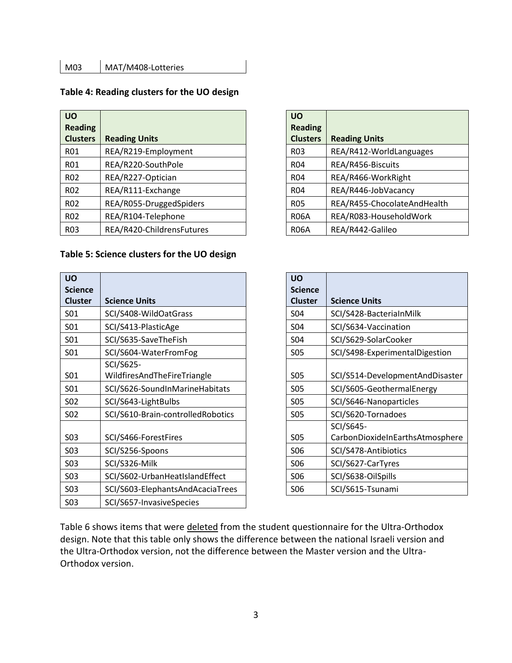#### **Table 4: Reading clusters for the UO design**

| <b>UO</b><br><b>Reading</b> |                           | <b>UO</b><br><b>Reading</b> |                             |
|-----------------------------|---------------------------|-----------------------------|-----------------------------|
| <b>Clusters</b>             | <b>Reading Units</b>      | <b>Clusters</b>             | <b>Reading Units</b>        |
| R01                         | REA/R219-Employment       | <b>R03</b>                  | REA/R412-WorldLanguages     |
| R01                         | REA/R220-SouthPole        | R <sub>04</sub>             | REA/R456-Biscuits           |
| R <sub>02</sub>             | REA/R227-Optician         | R <sub>04</sub>             | REA/R466-WorkRight          |
| <b>R02</b>                  | REA/R111-Exchange         | R <sub>04</sub>             | REA/R446-JobVacancy         |
| <b>R02</b>                  | REA/R055-DruggedSpiders   | <b>R05</b>                  | REA/R455-ChocolateAndHealth |
| <b>R02</b>                  | REA/R104-Telephone        | <b>R06A</b>                 | REA/R083-HouseholdWork      |
| <b>R03</b>                  | REA/R420-ChildrensFutures | <b>R06A</b>                 | REA/R442-Galileo            |

### **Table 5: Science clusters for the UO design**

| <b>UO</b>        |                                   | <b>UO</b>       |                |                                |
|------------------|-----------------------------------|-----------------|----------------|--------------------------------|
| <b>Science</b>   |                                   |                 | <b>Science</b> |                                |
| <b>Cluster</b>   | <b>Science Units</b>              |                 | <b>Cluster</b> | <b>Science Units</b>           |
| S <sub>01</sub>  | SCI/S408-WildOatGrass             | S04             |                | SCI/S428-BacteriaInMilk        |
| S01              | SCI/S413-PlasticAge               | S04             |                | SCI/S634-Vaccination           |
| <b>SO1</b>       | SCI/S635-SaveTheFish              | <b>SO4</b>      |                | SCI/S629-SolarCooker           |
| <b>SO1</b>       | SCI/S604-WaterFromFog             | <b>SO5</b>      |                | SCI/S498-ExperimentalDigestion |
|                  | SCI/S625-                         |                 |                |                                |
| S01              | WildfiresAndTheFireTriangle       | <b>S05</b>      |                | SCI/S514-DevelopmentAndDisas   |
| S <sub>01</sub>  | SCI/S626-SoundInMarineHabitats    | <b>S05</b>      |                | SCI/S605-GeothermalEnergy      |
| S <sub>0</sub> 2 | SCI/S643-LightBulbs               | <b>S05</b>      |                | SCI/S646-Nanoparticles         |
| S <sub>0</sub> 2 | SCI/S610-Brain-controlledRobotics | <b>S05</b>      |                | SCI/S620-Tornadoes             |
|                  |                                   |                 |                | SCI/S645-                      |
| <b>SO3</b>       | SCI/S466-ForestFires              | <b>S05</b>      |                | CarbonDioxideInEarthsAtmosph   |
| <b>SO3</b>       | SCI/S256-Spoons                   | S <sub>06</sub> |                | SCI/S478-Antibiotics           |
| <b>SO3</b>       | SCI/S326-Milk                     | S <sub>06</sub> |                | SCI/S627-CarTyres              |
| <b>SO3</b>       | SCI/S602-UrbanHeatIslandEffect    | S <sub>06</sub> |                | SCI/S638-OilSpills             |
| <b>SO3</b>       | SCI/S603-ElephantsAndAcaciaTrees  | S06             |                | SCI/S615-Tsunami               |
| <b>SO3</b>       | SCI/S657-InvasiveSpecies          |                 |                |                                |

| <b>UO</b><br><b>Reading</b><br><b>Clusters</b> | <b>Reading Units</b>        |
|------------------------------------------------|-----------------------------|
| R <sub>0</sub> 3                               | REA/R412-WorldLanguages     |
| R <sub>04</sub>                                | REA/R456-Biscuits           |
| <b>R04</b>                                     | REA/R466-WorkRight          |
| R <sub>04</sub>                                | REA/R446-JobVacancy         |
| <b>R05</b>                                     | REA/R455-ChocolateAndHealth |
| <b>R06A</b>                                    | REA/R083-HouseholdWork      |
| R06A                                           | REA/R442-Galileo            |

|                                   | <b>UO</b>      |                                 |
|-----------------------------------|----------------|---------------------------------|
|                                   | <b>Science</b> |                                 |
| <b>Science Units</b>              | <b>Cluster</b> | <b>Science Units</b>            |
| SCI/S408-WildOatGrass             | <b>S04</b>     | SCI/S428-BacteriaInMilk         |
| SCI/S413-PlasticAge               | <b>S04</b>     | SCI/S634-Vaccination            |
| SCI/S635-SaveTheFish              | <b>S04</b>     | SCI/S629-SolarCooker            |
| SCI/S604-WaterFromFog             | <b>S05</b>     | SCI/S498-ExperimentalDigestion  |
| SCI/S625-                         |                |                                 |
| WildfiresAndTheFireTriangle       | <b>S05</b>     | SCI/S514-DevelopmentAndDisaster |
| SCI/S626-SoundInMarineHabitats    | <b>S05</b>     | SCI/S605-GeothermalEnergy       |
| SCI/S643-LightBulbs               | <b>S05</b>     | SCI/S646-Nanoparticles          |
| SCI/S610-Brain-controlledRobotics | <b>SO5</b>     | SCI/S620-Tornadoes              |
|                                   |                | SCI/S645-                       |
| SCI/S466-ForestFires              | <b>S05</b>     | CarbonDioxideInEarthsAtmosphere |
| SCI/S256-Spoons                   | <b>SO6</b>     | SCI/S478-Antibiotics            |
| SCI/S326-Milk                     | <b>SO6</b>     | SCI/S627-CarTyres               |
| SCI/S602-UrbanHeatIslandEffect    | <b>SO6</b>     | SCI/S638-OilSpills              |
| SCI/S603-ElephantsAndAcaciaTrees  | <b>SO6</b>     | SCI/S615-Tsunami                |
|                                   |                |                                 |

Table 6 shows items that were deleted from the student questionnaire for the Ultra-Orthodox design. Note that this table only shows the difference between the national Israeli version and the Ultra-Orthodox version, not the difference between the Master version and the Ultra-Orthodox version.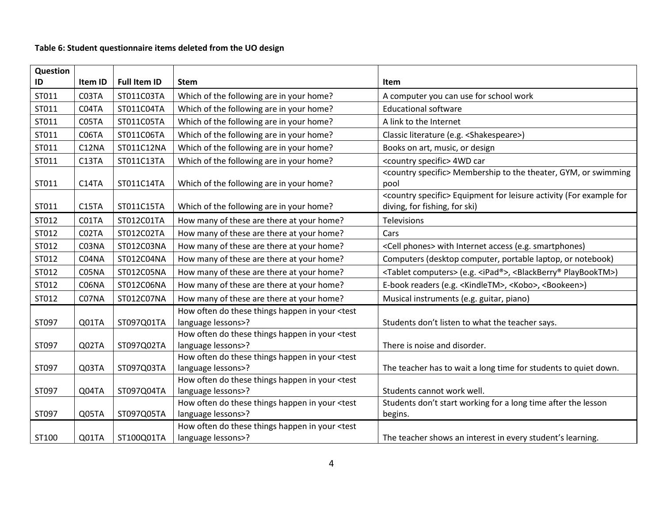## **Table 6: Student questionnaire items deleted from the UO design**

| Question<br>ID | Item ID | <b>Full Item ID</b> | <b>Stem</b>                                                                                                                          | <b>Item</b>                                                                                      |
|----------------|---------|---------------------|--------------------------------------------------------------------------------------------------------------------------------------|--------------------------------------------------------------------------------------------------|
|                |         |                     |                                                                                                                                      |                                                                                                  |
| ST011          | C03TA   | ST011C03TA          | Which of the following are in your home?                                                                                             | A computer you can use for school work                                                           |
| ST011          | C04TA   | ST011C04TA          | Which of the following are in your home?                                                                                             | <b>Educational software</b>                                                                      |
| ST011          | C05TA   | ST011C05TA          | Which of the following are in your home?                                                                                             | A link to the Internet                                                                           |
| ST011          | C06TA   | ST011C06TA          | Which of the following are in your home?                                                                                             | Classic literature (e.g. <shakespeare>)</shakespeare>                                            |
| ST011          | C12NA   | ST011C12NA          | Which of the following are in your home?                                                                                             | Books on art, music, or design                                                                   |
| ST011          | C13TA   | ST011C13TA          | Which of the following are in your home?                                                                                             | <country specific=""> 4WD car</country>                                                          |
|                |         |                     |                                                                                                                                      | <country specific=""> Membership to the theater, GYM, or swimming</country>                      |
| ST011          | C14TA   | ST011C14TA          | Which of the following are in your home?                                                                                             | pool                                                                                             |
|                |         |                     |                                                                                                                                      | <country specific=""> Equipment for leisure activity (For example for</country>                  |
| ST011          | C15TA   | ST011C15TA          | Which of the following are in your home?                                                                                             | diving, for fishing, for ski)                                                                    |
| ST012          | C01TA   | ST012C01TA          | How many of these are there at your home?                                                                                            | Televisions                                                                                      |
| ST012          | C02TA   | ST012C02TA          | How many of these are there at your home?                                                                                            | Cars                                                                                             |
| ST012          | C03NA   | ST012C03NA          | How many of these are there at your home?                                                                                            | <cell phones=""> with Internet access (e.g. smartphones)</cell>                                  |
| ST012          | C04NA   | ST012C04NA          | How many of these are there at your home?                                                                                            | Computers (desktop computer, portable laptop, or notebook)                                       |
| ST012          | C05NA   | ST012C05NA          | How many of these are there at your home?                                                                                            | <tablet computers=""> (e.g. <ipad®>, <blackberry® playbooktm="">)</blackberry®></ipad®></tablet> |
| ST012          | C06NA   | ST012C06NA          | How many of these are there at your home?                                                                                            | E-book readers (e.g. <kindletm>, <kobo>, <bookeen>)</bookeen></kobo></kindletm>                  |
| ST012          | C07NA   | ST012C07NA          | How many of these are there at your home?                                                                                            | Musical instruments (e.g. guitar, piano)                                                         |
|                |         |                     | How often do these things happen in your <test< td=""><td></td></test<>                                                              |                                                                                                  |
| ST097          | Q01TA   | ST097Q01TA          | language lessons>?                                                                                                                   | Students don't listen to what the teacher says.                                                  |
|                |         |                     | How often do these things happen in your <test< td=""><td></td></test<>                                                              |                                                                                                  |
| ST097          | Q02TA   | ST097Q02TA          | language lessons>?                                                                                                                   | There is noise and disorder.                                                                     |
|                |         |                     | How often do these things happen in your <test< td=""><td></td></test<>                                                              |                                                                                                  |
| ST097          | Q03TA   | ST097Q03TA          | language lessons>?                                                                                                                   | The teacher has to wait a long time for students to quiet down.                                  |
|                |         |                     | How often do these things happen in your <test< td=""><td></td></test<>                                                              |                                                                                                  |
| ST097          | Q04TA   | ST097Q04TA          | language lessons>?                                                                                                                   | Students cannot work well.                                                                       |
|                |         |                     | How often do these things happen in your <test< td=""><td>Students don't start working for a long time after the lesson</td></test<> | Students don't start working for a long time after the lesson                                    |
| ST097          | Q05TA   | ST097Q05TA          | language lessons>?                                                                                                                   | begins.                                                                                          |
|                |         |                     | How often do these things happen in your <test< td=""><td></td></test<>                                                              |                                                                                                  |
| ST100          | Q01TA   | ST100Q01TA          | language lessons>?                                                                                                                   | The teacher shows an interest in every student's learning.                                       |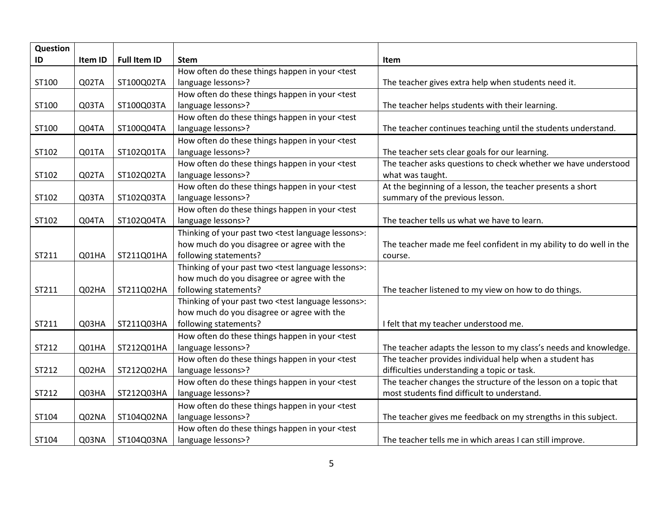| Question |         |                     |                                                                                                                                        |                                                                    |
|----------|---------|---------------------|----------------------------------------------------------------------------------------------------------------------------------------|--------------------------------------------------------------------|
| ID       | Item ID | <b>Full Item ID</b> | <b>Stem</b>                                                                                                                            | Item                                                               |
|          |         |                     | How often do these things happen in your <test< td=""><td></td></test<>                                                                |                                                                    |
| ST100    | Q02TA   | ST100Q02TA          | language lessons>?                                                                                                                     | The teacher gives extra help when students need it.                |
|          |         |                     | How often do these things happen in your <test< td=""><td></td></test<>                                                                |                                                                    |
| ST100    | Q03TA   | ST100Q03TA          | language lessons>?                                                                                                                     | The teacher helps students with their learning.                    |
|          |         |                     | How often do these things happen in your <test< td=""><td></td></test<>                                                                |                                                                    |
| ST100    | Q04TA   | ST100Q04TA          | language lessons>?                                                                                                                     | The teacher continues teaching until the students understand.      |
|          |         |                     | How often do these things happen in your <test< td=""><td></td></test<>                                                                |                                                                    |
| ST102    | Q01TA   | ST102Q01TA          | language lessons>?                                                                                                                     | The teacher sets clear goals for our learning.                     |
|          |         |                     | How often do these things happen in your <test< td=""><td>The teacher asks questions to check whether we have understood</td></test<>  | The teacher asks questions to check whether we have understood     |
| ST102    | Q02TA   | ST102Q02TA          | language lessons>?                                                                                                                     | what was taught.                                                   |
|          |         |                     | How often do these things happen in your <test< td=""><td>At the beginning of a lesson, the teacher presents a short</td></test<>      | At the beginning of a lesson, the teacher presents a short         |
| ST102    | Q03TA   | ST102Q03TA          | language lessons>?                                                                                                                     | summary of the previous lesson.                                    |
|          |         |                     | How often do these things happen in your <test< td=""><td></td></test<>                                                                |                                                                    |
| ST102    | Q04TA   | ST102Q04TA          | language lessons>?                                                                                                                     | The teacher tells us what we have to learn.                        |
|          |         |                     | Thinking of your past two <test language="" lessons="">:</test>                                                                        |                                                                    |
|          |         |                     | how much do you disagree or agree with the                                                                                             | The teacher made me feel confident in my ability to do well in the |
| ST211    | Q01HA   | ST211Q01HA          | following statements?                                                                                                                  | course.                                                            |
|          |         |                     | Thinking of your past two <test language="" lessons="">:</test>                                                                        |                                                                    |
|          |         |                     | how much do you disagree or agree with the                                                                                             |                                                                    |
| ST211    | Q02HA   | ST211Q02HA          | following statements?                                                                                                                  | The teacher listened to my view on how to do things.               |
|          |         |                     | Thinking of your past two <test language="" lessons="">:</test>                                                                        |                                                                    |
|          |         |                     | how much do you disagree or agree with the                                                                                             |                                                                    |
| ST211    | Q03HA   | ST211Q03HA          | following statements?                                                                                                                  | I felt that my teacher understood me.                              |
|          |         |                     | How often do these things happen in your <test< td=""><td></td></test<>                                                                |                                                                    |
| ST212    | Q01HA   | ST212Q01HA          | language lessons>?                                                                                                                     | The teacher adapts the lesson to my class's needs and knowledge.   |
|          |         |                     | How often do these things happen in your <test< td=""><td>The teacher provides individual help when a student has</td></test<>         | The teacher provides individual help when a student has            |
| ST212    | Q02HA   | ST212Q02HA          | language lessons>?                                                                                                                     | difficulties understanding a topic or task.                        |
|          |         |                     | How often do these things happen in your <test< td=""><td>The teacher changes the structure of the lesson on a topic that</td></test<> | The teacher changes the structure of the lesson on a topic that    |
| ST212    | Q03HA   | ST212Q03HA          | language lessons>?                                                                                                                     | most students find difficult to understand.                        |
|          |         |                     | How often do these things happen in your <test< td=""><td></td></test<>                                                                |                                                                    |
| ST104    | Q02NA   | ST104Q02NA          | language lessons>?                                                                                                                     | The teacher gives me feedback on my strengths in this subject.     |
|          |         |                     | How often do these things happen in your <test< td=""><td></td></test<>                                                                |                                                                    |
| ST104    | Q03NA   | ST104Q03NA          | language lessons>?                                                                                                                     | The teacher tells me in which areas I can still improve.           |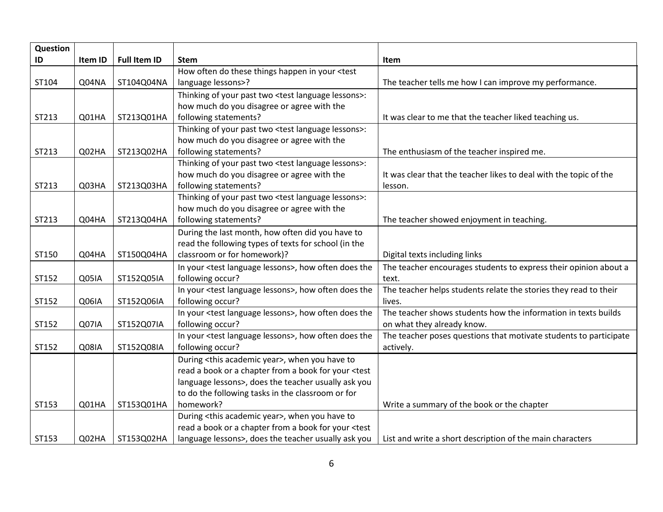| Question |         |                     |                                                                              |                                                                   |
|----------|---------|---------------------|------------------------------------------------------------------------------|-------------------------------------------------------------------|
| ID       | Item ID | <b>Full Item ID</b> | <b>Stem</b>                                                                  | Item                                                              |
|          |         |                     | How often do these things happen in your <test< td=""><td></td></test<>      |                                                                   |
| ST104    | Q04NA   | ST104Q04NA          | language lessons>?                                                           | The teacher tells me how I can improve my performance.            |
|          |         |                     | Thinking of your past two <test language="" lessons="">:</test>              |                                                                   |
|          |         |                     | how much do you disagree or agree with the                                   |                                                                   |
| ST213    | Q01HA   | ST213Q01HA          | following statements?                                                        | It was clear to me that the teacher liked teaching us.            |
|          |         |                     | Thinking of your past two <test language="" lessons="">:</test>              |                                                                   |
|          |         |                     | how much do you disagree or agree with the                                   |                                                                   |
| ST213    | Q02HA   | ST213Q02HA          | following statements?                                                        | The enthusiasm of the teacher inspired me.                        |
|          |         |                     | Thinking of your past two <test language="" lessons="">:</test>              |                                                                   |
|          |         |                     | how much do you disagree or agree with the                                   | It was clear that the teacher likes to deal with the topic of the |
| ST213    | Q03HA   | ST213Q03HA          | following statements?                                                        | lesson.                                                           |
|          |         |                     | Thinking of your past two <test language="" lessons="">:</test>              |                                                                   |
|          |         |                     | how much do you disagree or agree with the                                   |                                                                   |
| ST213    | Q04HA   | ST213Q04HA          | following statements?                                                        | The teacher showed enjoyment in teaching.                         |
|          |         |                     | During the last month, how often did you have to                             |                                                                   |
|          |         |                     | read the following types of texts for school (in the                         |                                                                   |
| ST150    | Q04HA   | ST150Q04HA          | classroom or for homework)?                                                  | Digital texts including links                                     |
|          |         |                     | In your <test language="" lessons="">, how often does the</test>             | The teacher encourages students to express their opinion about a  |
| ST152    | Q05IA   | ST152Q05IA          | following occur?                                                             | text.                                                             |
|          |         |                     | In your <test language="" lessons="">, how often does the</test>             | The teacher helps students relate the stories they read to their  |
| ST152    | Q06IA   | ST152Q06IA          | following occur?                                                             | lives.                                                            |
|          |         |                     | In your <test language="" lessons="">, how often does the</test>             | The teacher shows students how the information in texts builds    |
| ST152    | Q07IA   | ST152Q07IA          | following occur?                                                             | on what they already know.                                        |
|          |         |                     | In your <test language="" lessons="">, how often does the</test>             | The teacher poses questions that motivate students to participate |
| ST152    | Q08IA   | ST152Q08IA          | following occur?                                                             | actively.                                                         |
|          |         |                     | During <this academic="" year="">, when you have to</this>                   |                                                                   |
|          |         |                     | read a book or a chapter from a book for your <test< td=""><td></td></test<> |                                                                   |
|          |         |                     | language lessons>, does the teacher usually ask you                          |                                                                   |
|          |         |                     | to do the following tasks in the classroom or for                            |                                                                   |
| ST153    | Q01HA   | ST153Q01HA          | homework?                                                                    | Write a summary of the book or the chapter                        |
|          |         |                     | During <this academic="" year="">, when you have to</this>                   |                                                                   |
|          |         |                     | read a book or a chapter from a book for your <test< td=""><td></td></test<> |                                                                   |
| ST153    | Q02HA   | ST153Q02HA          | language lessons>, does the teacher usually ask you                          | List and write a short description of the main characters         |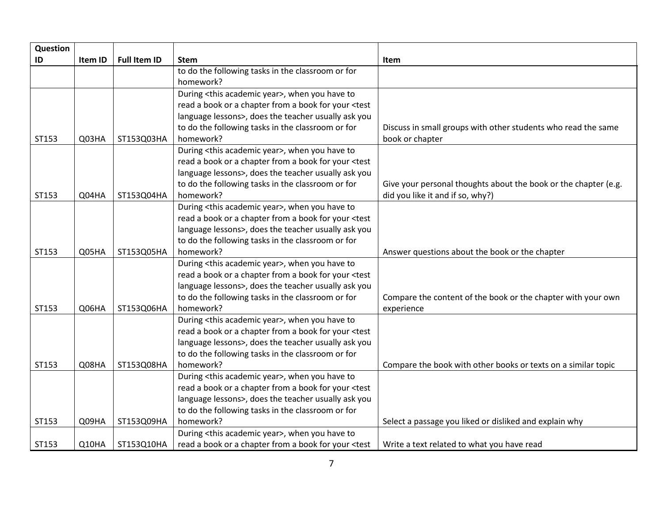| Question |         |                     |                                                                                                                        |                                                                 |
|----------|---------|---------------------|------------------------------------------------------------------------------------------------------------------------|-----------------------------------------------------------------|
| ID       | Item ID | <b>Full Item ID</b> | <b>Stem</b>                                                                                                            | Item                                                            |
|          |         |                     | to do the following tasks in the classroom or for                                                                      |                                                                 |
|          |         |                     | homework?                                                                                                              |                                                                 |
|          |         |                     | During <this academic="" year="">, when you have to</this>                                                             |                                                                 |
|          |         |                     | read a book or a chapter from a book for your <test< td=""><td></td></test<>                                           |                                                                 |
|          |         |                     | language lessons>, does the teacher usually ask you                                                                    |                                                                 |
|          |         |                     | to do the following tasks in the classroom or for                                                                      | Discuss in small groups with other students who read the same   |
| ST153    | Q03HA   | ST153Q03HA          | homework?                                                                                                              | book or chapter                                                 |
|          |         |                     | During <this academic="" year="">, when you have to</this>                                                             |                                                                 |
|          |         |                     | read a book or a chapter from a book for your <test< td=""><td></td></test<>                                           |                                                                 |
|          |         |                     | language lessons>, does the teacher usually ask you                                                                    |                                                                 |
|          |         |                     | to do the following tasks in the classroom or for                                                                      | Give your personal thoughts about the book or the chapter (e.g. |
| ST153    | Q04HA   | ST153Q04HA          | homework?                                                                                                              | did you like it and if so, why?)                                |
|          |         |                     | During <this academic="" year="">, when you have to</this>                                                             |                                                                 |
|          |         |                     | read a book or a chapter from a book for your <test< td=""><td></td></test<>                                           |                                                                 |
|          |         |                     | language lessons>, does the teacher usually ask you                                                                    |                                                                 |
|          |         |                     | to do the following tasks in the classroom or for                                                                      |                                                                 |
| ST153    | Q05HA   | ST153Q05HA          | homework?                                                                                                              | Answer questions about the book or the chapter                  |
|          |         |                     | During <this academic="" year="">, when you have to</this>                                                             |                                                                 |
|          |         |                     | read a book or a chapter from a book for your <test< td=""><td></td></test<>                                           |                                                                 |
|          |         |                     | language lessons>, does the teacher usually ask you                                                                    |                                                                 |
|          |         |                     | to do the following tasks in the classroom or for                                                                      | Compare the content of the book or the chapter with your own    |
| ST153    | Q06HA   | ST153Q06HA          | homework?                                                                                                              | experience                                                      |
|          |         |                     | During <this academic="" year="">, when you have to</this>                                                             |                                                                 |
|          |         |                     | read a book or a chapter from a book for your <test< td=""><td></td></test<>                                           |                                                                 |
|          |         |                     | language lessons>, does the teacher usually ask you                                                                    |                                                                 |
|          |         |                     | to do the following tasks in the classroom or for                                                                      |                                                                 |
| ST153    | Q08HA   | ST153Q08HA          | homework?                                                                                                              | Compare the book with other books or texts on a similar topic   |
|          |         |                     | During <this academic="" year="">, when you have to</this>                                                             |                                                                 |
|          |         |                     | read a book or a chapter from a book for your <test< td=""><td></td></test<>                                           |                                                                 |
|          |         |                     | language lessons>, does the teacher usually ask you                                                                    |                                                                 |
|          |         |                     | to do the following tasks in the classroom or for                                                                      |                                                                 |
| ST153    | Q09HA   | ST153Q09HA          | homework?                                                                                                              | Select a passage you liked or disliked and explain why          |
|          |         |                     | During <this academic="" year="">, when you have to</this>                                                             |                                                                 |
| ST153    | Q10HA   | ST153Q10HA          | read a book or a chapter from a book for your <test< td=""><td>Write a text related to what you have read</td></test<> | Write a text related to what you have read                      |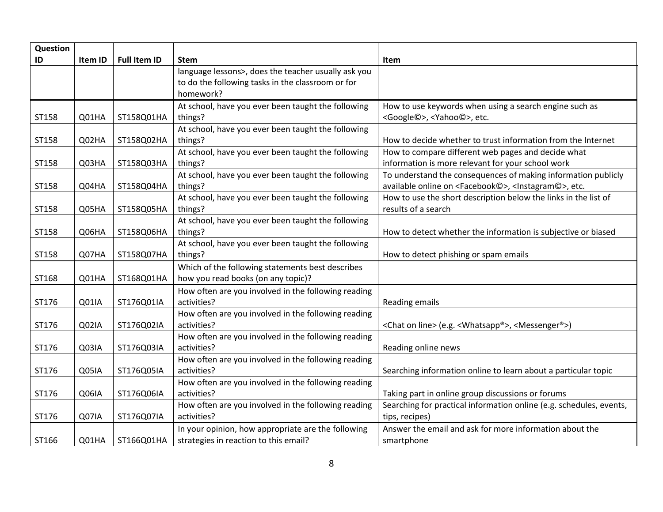| Question |         |                     |                                                     |                                                                                       |
|----------|---------|---------------------|-----------------------------------------------------|---------------------------------------------------------------------------------------|
| ID       | Item ID | <b>Full Item ID</b> | <b>Stem</b>                                         | Item                                                                                  |
|          |         |                     | language lessons>, does the teacher usually ask you |                                                                                       |
|          |         |                     | to do the following tasks in the classroom or for   |                                                                                       |
|          |         |                     | homework?                                           |                                                                                       |
|          |         |                     | At school, have you ever been taught the following  | How to use keywords when using a search engine such as                                |
| ST158    | Q01HA   | ST158Q01HA          | things?                                             | <google©>, <yahoo©>, etc.</yahoo©></google©>                                          |
|          |         |                     | At school, have you ever been taught the following  |                                                                                       |
| ST158    | Q02HA   | ST158Q02HA          | things?                                             | How to decide whether to trust information from the Internet                          |
|          |         |                     | At school, have you ever been taught the following  | How to compare different web pages and decide what                                    |
| ST158    | Q03HA   | ST158Q03HA          | things?                                             | information is more relevant for your school work                                     |
|          |         |                     | At school, have you ever been taught the following  | To understand the consequences of making information publicly                         |
| ST158    | Q04HA   | ST158Q04HA          | things?                                             | available online on <facebook©>, <instagram©>, etc.</instagram©></facebook©>          |
|          |         |                     | At school, have you ever been taught the following  | How to use the short description below the links in the list of                       |
| ST158    | Q05HA   | ST158Q05HA          | things?                                             | results of a search                                                                   |
|          |         |                     | At school, have you ever been taught the following  |                                                                                       |
| ST158    | Q06HA   | ST158Q06HA          | things?                                             | How to detect whether the information is subjective or biased                         |
|          |         |                     | At school, have you ever been taught the following  |                                                                                       |
| ST158    | Q07HA   | ST158Q07HA          | things?                                             | How to detect phishing or spam emails                                                 |
|          |         |                     | Which of the following statements best describes    |                                                                                       |
| ST168    | Q01HA   | ST168Q01HA          | how you read books (on any topic)?                  |                                                                                       |
|          |         |                     | How often are you involved in the following reading |                                                                                       |
| ST176    | Q01IA   | ST176Q01IA          | activities?                                         | Reading emails                                                                        |
|          |         |                     | How often are you involved in the following reading |                                                                                       |
| ST176    | Q02IA   | ST176Q02IA          | activities?                                         | <chat line="" on=""> (e.g. <whatsapp®>, <messenger®>)</messenger®></whatsapp®></chat> |
|          |         |                     | How often are you involved in the following reading |                                                                                       |
| ST176    | Q03IA   | ST176Q03IA          | activities?                                         | Reading online news                                                                   |
|          |         |                     | How often are you involved in the following reading |                                                                                       |
| ST176    | Q05IA   | ST176Q05IA          | activities?                                         | Searching information online to learn about a particular topic                        |
|          |         |                     | How often are you involved in the following reading |                                                                                       |
| ST176    | Q06IA   | ST176Q06IA          | activities?                                         | Taking part in online group discussions or forums                                     |
|          |         |                     | How often are you involved in the following reading | Searching for practical information online (e.g. schedules, events,                   |
| ST176    | Q07IA   | ST176Q07IA          | activities?                                         | tips, recipes)                                                                        |
|          |         |                     | In your opinion, how appropriate are the following  | Answer the email and ask for more information about the                               |
| ST166    | Q01HA   | ST166Q01HA          | strategies in reaction to this email?               | smartphone                                                                            |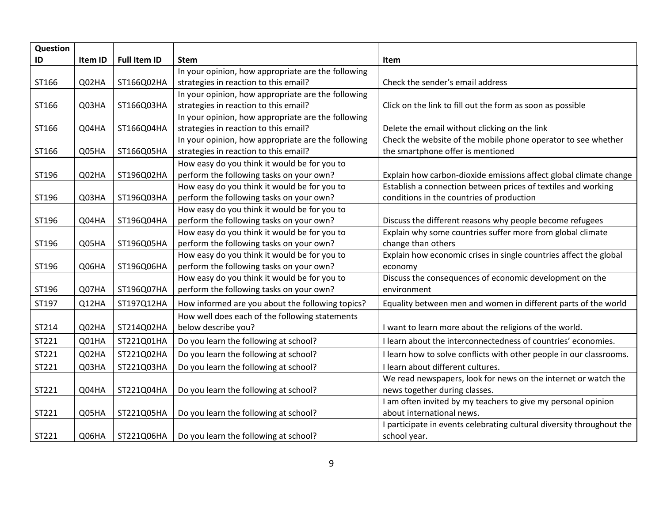| Question |         |                     |                                                    |                                                                       |
|----------|---------|---------------------|----------------------------------------------------|-----------------------------------------------------------------------|
| ID       | Item ID | <b>Full Item ID</b> | <b>Stem</b>                                        | Item                                                                  |
|          |         |                     | In your opinion, how appropriate are the following |                                                                       |
| ST166    | Q02HA   | ST166Q02HA          | strategies in reaction to this email?              | Check the sender's email address                                      |
|          |         |                     | In your opinion, how appropriate are the following |                                                                       |
| ST166    | Q03HA   | ST166Q03HA          | strategies in reaction to this email?              | Click on the link to fill out the form as soon as possible            |
|          |         |                     | In your opinion, how appropriate are the following |                                                                       |
| ST166    | Q04HA   | ST166Q04HA          | strategies in reaction to this email?              | Delete the email without clicking on the link                         |
|          |         |                     | In your opinion, how appropriate are the following | Check the website of the mobile phone operator to see whether         |
| ST166    | Q05HA   | ST166Q05HA          | strategies in reaction to this email?              | the smartphone offer is mentioned                                     |
|          |         |                     | How easy do you think it would be for you to       |                                                                       |
| ST196    | Q02HA   | ST196Q02HA          | perform the following tasks on your own?           | Explain how carbon-dioxide emissions affect global climate change     |
|          |         |                     | How easy do you think it would be for you to       | Establish a connection between prices of textiles and working         |
| ST196    | Q03HA   | ST196Q03HA          | perform the following tasks on your own?           | conditions in the countries of production                             |
|          |         |                     | How easy do you think it would be for you to       |                                                                       |
| ST196    | Q04HA   | ST196Q04HA          | perform the following tasks on your own?           | Discuss the different reasons why people become refugees              |
|          |         |                     | How easy do you think it would be for you to       | Explain why some countries suffer more from global climate            |
| ST196    | Q05HA   | ST196Q05HA          | perform the following tasks on your own?           | change than others                                                    |
|          |         |                     | How easy do you think it would be for you to       | Explain how economic crises in single countries affect the global     |
| ST196    | Q06HA   | ST196Q06HA          | perform the following tasks on your own?           | economy                                                               |
|          |         |                     | How easy do you think it would be for you to       | Discuss the consequences of economic development on the               |
| ST196    | Q07HA   | ST196Q07HA          | perform the following tasks on your own?           | environment                                                           |
| ST197    | Q12HA   | ST197Q12HA          | How informed are you about the following topics?   | Equality between men and women in different parts of the world        |
|          |         |                     | How well does each of the following statements     |                                                                       |
| ST214    | Q02HA   | ST214Q02HA          | below describe you?                                | I want to learn more about the religions of the world.                |
| ST221    | Q01HA   | ST221Q01HA          | Do you learn the following at school?              | I learn about the interconnectedness of countries' economies.         |
| ST221    | Q02HA   | ST221Q02HA          | Do you learn the following at school?              | I learn how to solve conflicts with other people in our classrooms.   |
| ST221    | Q03HA   | ST221Q03HA          | Do you learn the following at school?              | I learn about different cultures.                                     |
|          |         |                     |                                                    | We read newspapers, look for news on the internet or watch the        |
| ST221    | Q04HA   | ST221Q04HA          | Do you learn the following at school?              | news together during classes.                                         |
|          |         |                     |                                                    | I am often invited by my teachers to give my personal opinion         |
| ST221    | Q05HA   | ST221Q05HA          | Do you learn the following at school?              | about international news.                                             |
|          |         |                     |                                                    | I participate in events celebrating cultural diversity throughout the |
| ST221    | Q06HA   | ST221Q06HA          | Do you learn the following at school?              | school year.                                                          |